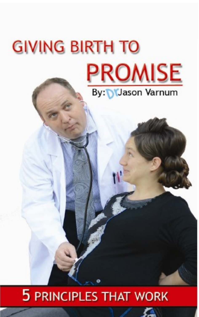# **GIVING BIRTH TO PROMISE** By: *Jason Varnum*

# **5 PRINCIPLES THAT WORK**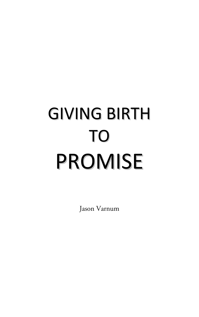# GIVING BIRTH TO PROMISE

Jason Varnum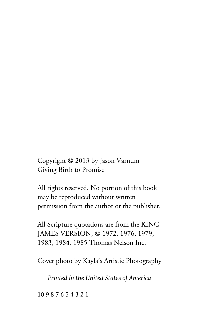Copyright © 2013 by Jason Varnum Giving Birth to Promise

All rights reserved. No portion of this book may be reproduced without written permission from the author or the publisher.

All Scripture quotations are from the KING JAMES VERSION, © 1972, 1976, 1979, 1983, 1984, 1985 Thomas Nelson Inc.

Cover photo by Kayla's Artistic Photography

*Printed in the United States of America* 

10 9 8 7 6 5 4 3 2 1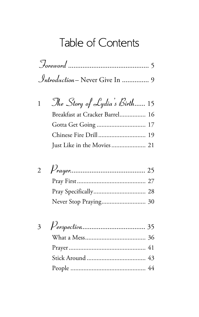# Table of Contents

| <i>Introduction</i> – Never Give In  9 |  |
|----------------------------------------|--|

| $\mathbf{1}$ | The Story of Lydia's Birth 15  |
|--------------|--------------------------------|
|              | Breakfast at Cracker Barrel 16 |
|              |                                |
|              |                                |
|              |                                |

| Never Stop Praying 30 |
|-----------------------|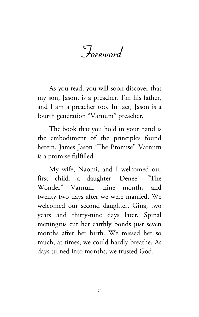Foreword

As you read, you will soon discover that my son, Jason, is a preacher. I'm his father, and I am a preacher too. In fact, Jason is a fourth generation "Varnum" preacher.

The book that you hold in your hand is the embodiment of the principles found herein. James Jason 'The Promise" Varnum is a promise fulfilled.

My wife, Naomi, and I welcomed our first child, a daughter, Denee', "The Wonder" Varnum, nine months and twenty-two days after we were married. We welcomed our second daughter, Gina, two years and thirty-nine days later. Spinal meningitis cut her earthly bonds just seven months after her birth. We missed her so much; at times, we could hardly breathe. As days turned into months, we trusted God.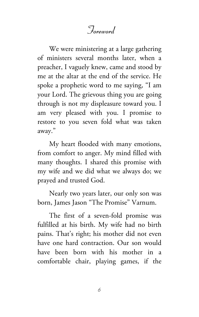### Foreword

We were ministering at a large gathering of ministers several months later, when a preacher, I vaguely knew, came and stood by me at the altar at the end of the service. He spoke a prophetic word to me saying, "I am your Lord. The grievous thing you are going through is not my displeasure toward you. I am very pleased with you. I promise to restore to you seven fold what was taken away."

My heart flooded with many emotions, from comfort to anger. My mind filled with many thoughts. I shared this promise with my wife and we did what we always do; we prayed and trusted God.

Nearly two years later, our only son was born, James Jason "The Promise" Varnum.

The first of a seven-fold promise was fulfilled at his birth. My wife had no birth pains. That's right; his mother did not even have one hard contraction. Our son would have been born with his mother in a comfortable chair, playing games, if the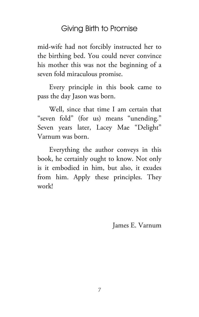mid-wife had not forcibly instructed her to the birthing bed. You could never convince his mother this was not the beginning of a seven fold miraculous promise.

Every principle in this book came to pass the day Jason was born.

Well, since that time I am certain that "seven fold" (for us) means "unending." Seven years later, Lacey Mae "Delight" Varnum was born.

Everything the author conveys in this book, he certainly ought to know. Not only is it embodied in him, but also, it exudes from him. Apply these principles. They work!

James E. Varnum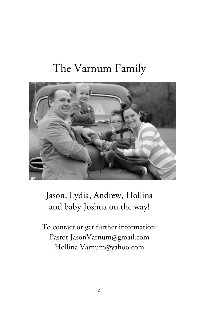# The Varnum Family



### Jason, Lydia, Andrew, Hollina and baby Joshua on the way!

To contact or get further information: Pastor JasonVarnum@gmail.com Hollina Varnum@yahoo.com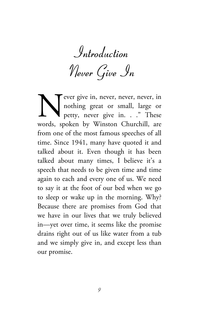Introduction

Never Give In

ever give in, never, never, never, in nothing great or small, large or petty, never give in. . ." These words, spoken by Winston Churchill, are from one of the most famous speeches of all time. Since 1941, many have quoted it and talked about it. Even though it has been talked about many times, I believe it's a speech that needs to be given time and time again to each and every one of us. We need to say it at the foot of our bed when we go to sleep or wake up in the morning. Why? Because there are promises from God that we have in our lives that we truly believed in—yet over time, it seems like the promise drains right out of us like water from a tub and we simply give in, and except less than our promise. N<br>words sr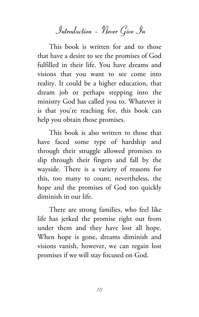Introduction – Never Give In

This book is written for and to those that have a desire to see the promises of God fulfilled in their life. You have dreams and visions that you want to see come into reality. It could be a higher education, that dream job or perhaps stepping into the ministry God has called you to. Whatever it is that you're reaching for, this book can help you obtain those promises.

This book is also written to those that have faced some type of hardship and through their struggle allowed promises to slip through their fingers and fall by the wayside. There is a variety of reasons for this, too many to count; nevertheless, the hope and the promises of God too quickly diminish in our life.

There are strong families, who feel like life has jerked the promise right out from under them and they have lost all hope. When hope is gone, dreams diminish and visions vanish, however, we can regain lost promises if we will stay focused on God.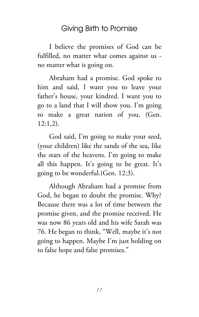I believe the promises of God can be fulfilled, no matter what comes against us no matter what is going on.

Abraham had a promise. God spoke to him and said, I want you to leave your father's house, your kindred. I want you to go to a land that I will show you. I'm going to make a great nation of you. (Gen. 12:1,2).

God said, I'm going to make your seed, (your children) like the sands of the sea, like the stars of the heavens. I'm going to make all this happen. It's going to be great. It's going to be wonderful.(Gen. 12:3).

Although Abraham had a promise from God, he began to doubt the promise. Why? Because there was a lot of time between the promise given, and the promise received. He was now 86 years old and his wife Sarah was 76. He began to think, "Well, maybe it's not going to happen. Maybe I'm just holding on to false hope and false promises."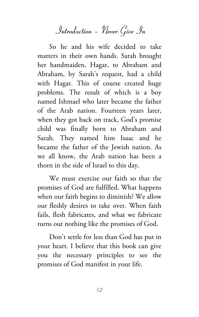Introduction – Never Give In

So he and his wife decided to take matters in their own hands. Sarah brought her handmaiden, Hagar, to Abraham and Abraham, by Sarah's request, had a child with Hagar. This of course created huge problems. The result of which is a boy named Ishmael who later became the father of the Arab nation. Fourteen years later, when they got back on track, God's promise child was finally born to Abraham and Sarah. They named him Isaac and he became the father of the Jewish nation. As we all know, the Arab nation has been a thorn in the side of Israel to this day.

We must exercise our faith so that the promises of God are fulfilled. What happens when our faith begins to diminish? We allow our fleshly desires to take over. When faith fails, flesh fabricates, and what we fabricate turns out nothing like the promises of God.

Don't settle for less than God has put in your heart. I believe that this book can give you the necessary principles to see the promises of God manifest in your life.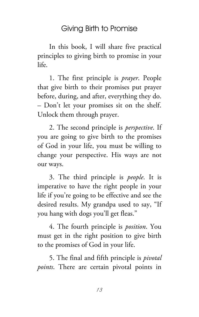In this book, I will share five practical principles to giving birth to promise in your life.

1. The first principle is *prayer*. People that give birth to their promises put prayer before, during, and after, everything they do. – Don't let your promises sit on the shelf. Unlock them through prayer.

2. The second principle is *perspective*. If you are going to give birth to the promises of God in your life, you must be willing to change your perspective. His ways are not our ways.

3. The third principle is *people*. It is imperative to have the right people in your life if you're going to be effective and see the desired results. My grandpa used to say, "If you hang with dogs you'll get fleas."

4. The fourth principle is *position*. You must get in the right position to give birth to the promises of God in your life.

5. The final and fifth principle is *pivotal points*. There are certain pivotal points in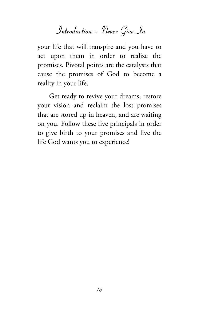Introduction – Never Give In

your life that will transpire and you have to act upon them in order to realize the promises. Pivotal points are the catalysts that cause the promises of God to become a reality in your life.

Get ready to revive your dreams, restore your vision and reclaim the lost promises that are stored up in heaven, and are waiting on you. Follow these five principals in order to give birth to your promises and live the life God wants you to experience!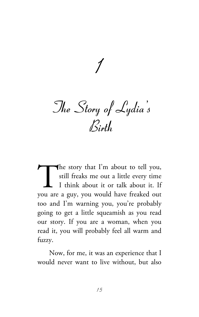$\overline{1}$ 

The Story of Lydia's Birth

he story that I'm about to tell you, still freaks me out a little every time I think about it or talk about it. If The story that I'm about to tell you,<br>still freaks me out a little every time<br>I think about it or talk about it. If<br>you are a guy, you would have freaked out too and I'm warning you, you're probably going to get a little squeamish as you read our story. If you are a woman, when you read it, you will probably feel all warm and fuzzy.

Now, for me, it was an experience that I would never want to live without, but also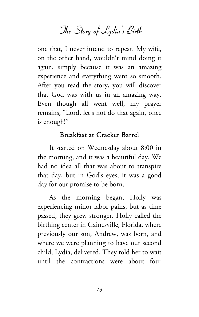The Story of Lydia's Birth

one that, I never intend to repeat. My wife, on the other hand, wouldn't mind doing it again, simply because it was an amazing experience and everything went so smooth. After you read the story, you will discover that God was with us in an amazing way. Even though all went well, my prayer remains, "Lord, let's not do that again, once is enough!"

#### Breakfast at Cracker Barrel

It started on Wednesday about 8:00 in the morning, and it was a beautiful day. We had no idea all that was about to transpire that day, but in God's eyes, it was a good day for our promise to be born.

As the morning began, Holly was experiencing minor labor pains, but as time passed, they grew stronger. Holly called the birthing center in Gainesville, Florida, where previously our son, Andrew, was born, and where we were planning to have our second child, Lydia, delivered. They told her to wait until the contractions were about four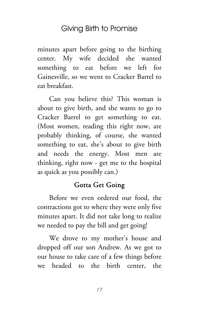minutes apart before going to the birthing center. My wife decided she wanted something to eat before we left for Gainesville, so we went to Cracker Barrel to eat breakfast.

Can you believe this? This woman is about to give birth, and she wants to go to Cracker Barrel to get something to eat. (Most women, reading this right now, are probably thinking, of course, she wanted something to eat, she's about to give birth and needs the energy. Most men are thinking, right now - get me to the hospital as quick as you possibly can.)

#### Gotta Get Going

Before we even ordered our food, the contractions got to where they were only five minutes apart. It did not take long to realize we needed to pay the bill and get going!

We drove to my mother's house and dropped off our son Andrew. As we got to our house to take care of a few things before we headed to the birth center, the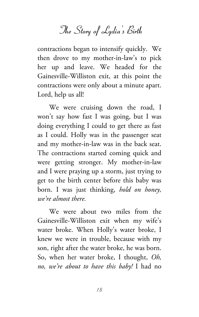The Story of Lydia's Birth

contractions began to intensify quickly. We then drove to my mother-in-law's to pick her up and leave. We headed for the Gainesville-Williston exit, at this point the contractions were only about a minute apart. Lord, help us all!

We were cruising down the road, I won't say how fast I was going, but I was doing everything I could to get there as fast as I could. Holly was in the passenger seat and my mother-in-law was in the back seat. The contractions started coming quick and were getting stronger. My mother-in-law and I were praying up a storm, just trying to get to the birth center before this baby was born. I was just thinking, *hold on honey, we're almost there.*

We were about two miles from the Gainesville-Williston exit when my wife's water broke. When Holly's water broke, I knew we were in trouble, because with my son, right after the water broke, he was born. So, when her water broke, I thought, *Oh, no, we're about to have this baby!* I had no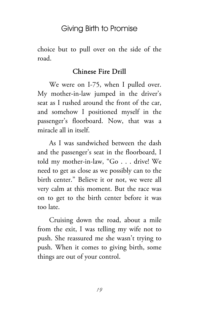choice but to pull over on the side of the road.

#### Chinese Fire Drill

We were on I-75, when I pulled over. My mother-in-law jumped in the driver's seat as I rushed around the front of the car, and somehow I positioned myself in the passenger's floorboard. Now, that was a miracle all in itself.

As I was sandwiched between the dash and the passenger's seat in the floorboard, I told my mother-in-law, "Go . . . drive! We need to get as close as we possibly can to the birth center." Believe it or not, we were all very calm at this moment. But the race was on to get to the birth center before it was too late.

Cruising down the road, about a mile from the exit, I was telling my wife not to push. She reassured me she wasn't trying to push. When it comes to giving birth, some things are out of your control.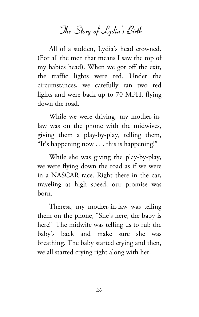# The Story of Lydia's Birth

All of a sudden, Lydia's head crowned. (For all the men that means I saw the top of my babies head). When we got off the exit, the traffic lights were red. Under the circumstances, we carefully ran two red lights and were back up to 70 MPH, flying down the road.

While we were driving, my mother-inlaw was on the phone with the midwives, giving them a play-by-play, telling them, "It's happening now  $\ldots$  this is happening!"

While she was giving the play-by-play, we were flying down the road as if we were in a NASCAR race. Right there in the car, traveling at high speed, our promise was born.

Theresa, my mother-in-law was telling them on the phone, "She's here, the baby is here!" The midwife was telling us to rub the baby's back and make sure she was breathing. The baby started crying and then, we all started crying right along with her.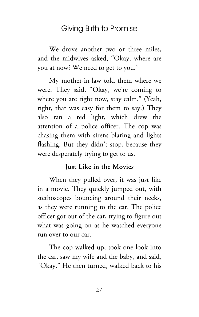We drove another two or three miles, and the midwives asked, "Okay, where are you at now? We need to get to you."

My mother-in-law told them where we were. They said, "Okay, we're coming to where you are right now, stay calm." (Yeah, right, that was easy for them to say.) They also ran a red light, which drew the attention of a police officer. The cop was chasing them with sirens blaring and lights flashing. But they didn't stop, because they were desperately trying to get to us.

#### Just Like in the Movies

When they pulled over, it was just like in a movie. They quickly jumped out, with stethoscopes bouncing around their necks, as they were running to the car. The police officer got out of the car, trying to figure out what was going on as he watched everyone run over to our car.

The cop walked up, took one look into the car, saw my wife and the baby, and said, "Okay." He then turned, walked back to his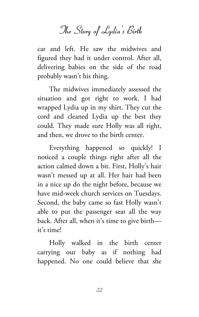The Story of Lydia's Birth

car and left. He saw the midwives and figured they had it under control. After all, delivering babies on the side of the road probably wasn't his thing.

The midwives immediately assessed the situation and got right to work. I had wrapped Lydia up in my shirt. They cut the cord and cleaned Lydia up the best they could. They made sure Holly was all right, and then, we drove to the birth center.

Everything happened so quickly! I noticed a couple things right after all the action calmed down a bit. First, Holly's hair wasn't messed up at all. Her hair had been in a nice up do the night before, because we have mid-week church services on Tuesdays. Second, the baby came so fast Holly wasn't able to put the passenger seat all the way back. After all, when it's time to give birth it's time!

Holly walked in the birth center carrying our baby as if nothing had happened. No one could believe that she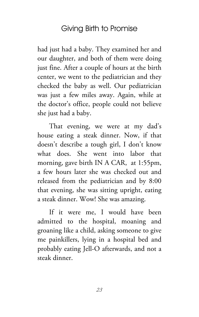had just had a baby. They examined her and our daughter, and both of them were doing just fine. After a couple of hours at the birth center, we went to the pediatrician and they checked the baby as well. Our pediatrician was just a few miles away. Again, while at the doctor's office, people could not believe she just had a baby.

That evening, we were at my dad's house eating a steak dinner. Now, if that doesn't describe a tough girl, I don't know what does. She went into labor that morning, gave birth IN A CAR, at 1:55pm, a few hours later she was checked out and released from the pediatrician and by 8:00 that evening, she was sitting upright, eating a steak dinner. Wow! She was amazing.

If it were me, I would have been admitted to the hospital, moaning and groaning like a child, asking someone to give me painkillers, lying in a hospital bed and probably eating Jell-O afterwards, and not a steak dinner.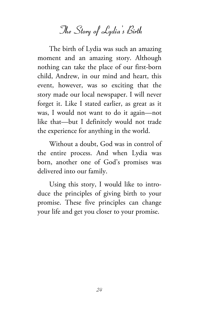# The Story of Lydia's Birth

The birth of Lydia was such an amazing moment and an amazing story. Although nothing can take the place of our first-born child, Andrew, in our mind and heart, this event, however, was so exciting that the story made our local newspaper. I will never forget it. Like I stated earlier, as great as it was, I would not want to do it again—not like that—but I definitely would not trade the experience for anything in the world.

Without a doubt, God was in control of the entire process. And when Lydia was born, another one of God's promises was delivered into our family.

Using this story, I would like to introduce the principles of giving birth to your promise. These five principles can change your life and get you closer to your promise.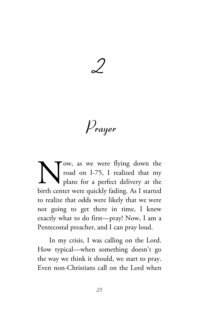2

Prayer

ow, as we were flying down the road on I-75, I realized that my plans for a perfect delivery at the birth center were quickly fading. As I started to realize that odds were likely that we were not going to get there in time, I knew exactly what to do first—pray! Now, I am a Pentecostal preacher, and I can pray loud. N<br>birth cent

In my crisis, I was calling on the Lord. How typical—when something doesn't go the way we think it should, we start to pray. Even non-Christians call on the Lord when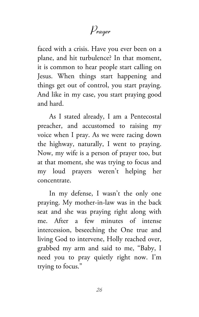## Prayer

faced with a crisis. Have you ever been on a plane, and hit turbulence? In that moment, it is common to hear people start calling on Jesus. When things start happening and things get out of control, you start praying. And like in my case, you start praying good and hard.

As I stated already, I am a Pentecostal preacher, and accustomed to raising my voice when I pray. As we were racing down the highway, naturally, I went to praying. Now, my wife is a person of prayer too, but at that moment, she was trying to focus and my loud prayers weren't helping her concentrate.

In my defense, I wasn't the only one praying. My mother-in-law was in the back seat and she was praying right along with me. After a few minutes of intense intercession, beseeching the One true and living God to intervene, Holly reached over, grabbed my arm and said to me, "Baby, I need you to pray quietly right now. I'm trying to focus."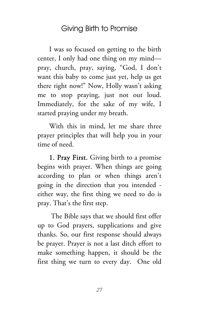I was so focused on getting to the birth center, I only had one thing on my mind pray, church, pray, saying, "God, I don't want this baby to come just yet, help us get there right now!" Now, Holly wasn't asking me to stop praying, just not out loud. Immediately, for the sake of my wife, I started praying under my breath.

With this in mind, let me share three prayer principles that will help you in your time of need.

1. Pray First. Giving birth to a promise begins with prayer. When things are going according to plan or when things aren't going in the direction that you intended either way, the first thing we need to do is pray. That's the first step.

 The Bible says that we should first offer up to God prayers, supplications and give thanks. So, our first response should always be prayer. Prayer is not a last ditch effort to make something happen, it should be the first thing we turn to every day. One old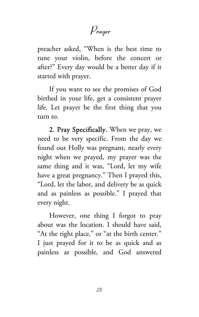Prayer

preacher asked, "When is the best time to tune your violin, before the concert or after?" Every day would be a better day if it started with prayer.

If you want to see the promises of God birthed in your life, get a consistent prayer life. Let prayer be the first thing that you turn to.

2. Pray Specifically. When we pray, we need to be very specific. From the day we found out Holly was pregnant, nearly every night when we prayed, my prayer was the same thing and it was, "Lord, let my wife have a great pregnancy." Then I prayed this, "Lord, let the labor, and delivery be as quick and as painless as possible." I prayed that every night.

However, one thing I forgot to pray about was the location. I should have said, "At the right place," or "at the birth center." I just prayed for it to be as quick and as painless as possible, and God answered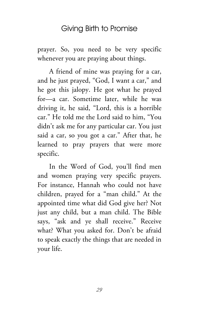prayer. So, you need to be very specific whenever you are praying about things.

A friend of mine was praying for a car, and he just prayed, "God, I want a car," and he got this jalopy. He got what he prayed for—a car. Sometime later, while he was driving it, he said, "Lord, this is a horrible car." He told me the Lord said to him, "You didn't ask me for any particular car. You just said a car, so you got a car." After that, he learned to pray prayers that were more specific.

In the Word of God, you'll find men and women praying very specific prayers. For instance, Hannah who could not have children, prayed for a "man child." At the appointed time what did God give her? Not just any child, but a man child. The Bible says, "ask and ye shall receive." Receive what? What you asked for. Don't be afraid to speak exactly the things that are needed in your life.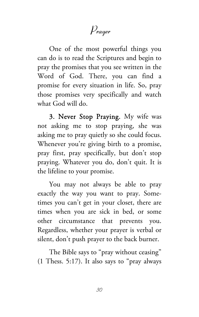Prayer

One of the most powerful things you can do is to read the Scriptures and begin to pray the promises that you see written in the Word of God. There, you can find a promise for every situation in life. So, pray those promises very specifically and watch what God will do.

3. Never Stop Praying. My wife was not asking me to stop praying, she was asking me to pray quietly so she could focus. Whenever you're giving birth to a promise, pray first, pray specifically, but don't stop praying. Whatever you do, don't quit. It is the lifeline to your promise.

You may not always be able to pray exactly the way you want to pray. Sometimes you can't get in your closet, there are times when you are sick in bed, or some other circumstance that prevents you. Regardless, whether your prayer is verbal or silent, don't push prayer to the back burner.

The Bible says to "pray without ceasing" (1 Thess. 5:17). It also says to "pray always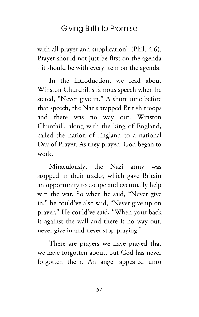with all prayer and supplication" (Phil. 4:6). Prayer should not just be first on the agenda - it should be with every item on the agenda.

In the introduction, we read about Winston Churchill's famous speech when he stated, "Never give in." A short time before that speech, the Nazis trapped British troops and there was no way out. Winston Churchill, along with the king of England, called the nation of England to a national Day of Prayer. As they prayed, God began to work.

Miraculously, the Nazi army was stopped in their tracks, which gave Britain an opportunity to escape and eventually help win the war. So when he said, "Never give in," he could've also said, "Never give up on prayer." He could've said, "When your back is against the wall and there is no way out, never give in and never stop praying."

There are prayers we have prayed that we have forgotten about, but God has never forgotten them. An angel appeared unto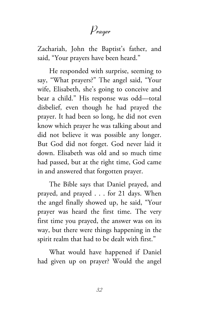## Prayer

Zachariah, John the Baptist's father, and said, "Your prayers have been heard."

He responded with surprise, seeming to say, "What prayers?" The angel said, "Your wife, Elisabeth, she's going to conceive and bear a child." His response was odd—total disbelief, even though he had prayed the prayer. It had been so long, he did not even know which prayer he was talking about and did not believe it was possible any longer. But God did not forget. God never laid it down. Elisabeth was old and so much time had passed, but at the right time, God came in and answered that forgotten prayer.

The Bible says that Daniel prayed, and prayed, and prayed . . . for 21 days. When the angel finally showed up, he said, "Your prayer was heard the first time. The very first time you prayed, the answer was on its way, but there were things happening in the spirit realm that had to be dealt with first."

What would have happened if Daniel had given up on prayer? Would the angel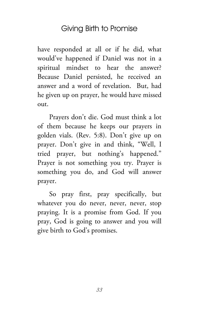have responded at all or if he did, what would've happened if Daniel was not in a spiritual mindset to hear the answer? Because Daniel persisted, he received an answer and a word of revelation. But, had he given up on prayer, he would have missed out.

Prayers don't die. God must think a lot of them because he keeps our prayers in golden vials. (Rev. 5:8). Don't give up on prayer. Don't give in and think, "Well, I tried prayer, but nothing's happened." Prayer is not something you try. Prayer is something you do, and God will answer prayer.

So pray first, pray specifically, but whatever you do never, never, never, stop praying. It is a promise from God. If you pray, God is going to answer and you will give birth to God's promises.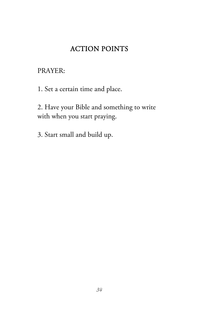#### ACTION POINTS

PRAYER:

1. Set a certain time and place.

2. Have your Bible and something to write with when you start praying.

3. Start small and build up.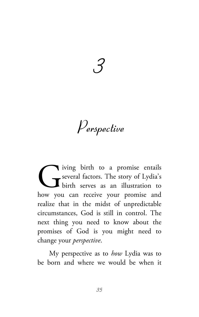3

Perspective

iving birth to a promise entails several factors. The story of Lydia's birth serves as an illustration to how you can receive your promise and realize that in the midst of unpredictable circumstances, God is still in control. The next thing you need to know about the promises of God is you might need to change your *perspective*. G<br>how you

My perspective as to *how* Lydia was to be born and where we would be when it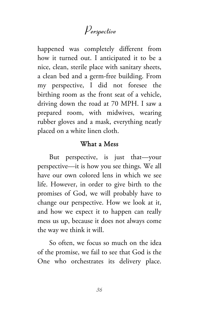# Perspective

happened was completely different from how it turned out. I anticipated it to be a nice, clean, sterile place with sanitary sheets, a clean bed and a germ-free building. From my perspective, I did not foresee the birthing room as the front seat of a vehicle, driving down the road at 70 MPH. I saw a prepared room, with midwives, wearing rubber gloves and a mask, everything neatly placed on a white linen cloth.

#### What a Mess

But perspective, is just that—your perspective—it is how you see things. We all have our own colored lens in which we see life. However, in order to give birth to the promises of God, we will probably have to change our perspective. How we look at it, and how we expect it to happen can really mess us up, because it does not always come the way we think it will.

So often, we focus so much on the idea of the promise, we fail to see that God is the One who orchestrates its delivery place.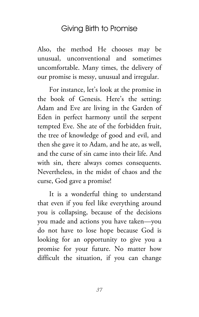Also, the method He chooses may be unusual, unconventional and sometimes uncomfortable. Many times, the delivery of our promise is messy, unusual and irregular.

For instance, let's look at the promise in the book of Genesis. Here's the setting: Adam and Eve are living in the Garden of Eden in perfect harmony until the serpent tempted Eve. She ate of the forbidden fruit, the tree of knowledge of good and evil, and then she gave it to Adam, and he ate, as well, and the curse of sin came into their life. And with sin, there always comes consequents. Nevertheless, in the midst of chaos and the curse, God gave a promise!

It is a wonderful thing to understand that even if you feel like everything around you is collapsing, because of the decisions you made and actions you have taken—you do not have to lose hope because God is looking for an opportunity to give you a promise for your future. No matter how difficult the situation, if you can change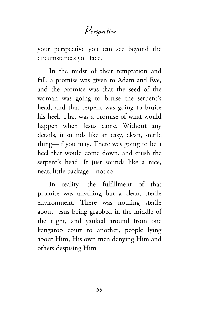# Perspective

your perspective you can see beyond the circumstances you face.

In the midst of their temptation and fall, a promise was given to Adam and Eve, and the promise was that the seed of the woman was going to bruise the serpent's head, and that serpent was going to bruise his heel. That was a promise of what would happen when Jesus came. Without any details, it sounds like an easy, clean, sterile thing—if you may. There was going to be a heel that would come down, and crush the serpent's head. It just sounds like a nice, neat, little package—not so.

In reality, the fulfillment of that promise was anything but a clean, sterile environment. There was nothing sterile about Jesus being grabbed in the middle of the night, and yanked around from one kangaroo court to another, people lying about Him, His own men denying Him and others despising Him.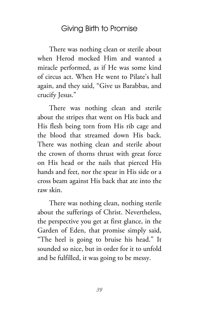There was nothing clean or sterile about when Herod mocked Him and wanted a miracle performed, as if He was some kind of circus act. When He went to Pilate's hall again, and they said, "Give us Barabbas, and crucify Jesus."

There was nothing clean and sterile about the stripes that went on His back and His flesh being torn from His rib cage and the blood that streamed down His back. There was nothing clean and sterile about the crown of thorns thrust with great force on His head or the nails that pierced His hands and feet, nor the spear in His side or a cross beam against His back that ate into the raw skin.

There was nothing clean, nothing sterile about the sufferings of Christ. Nevertheless, the perspective you get at first glance, in the Garden of Eden, that promise simply said, "The heel is going to bruise his head." It sounded so nice, but in order for it to unfold and be fulfilled, it was going to be messy.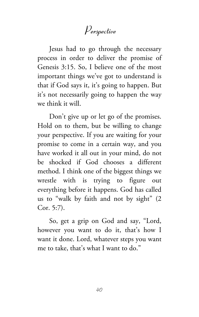# Perspective

Jesus had to go through the necessary process in order to deliver the promise of Genesis 3:15. So, I believe one of the most important things we've got to understand is that if God says it, it's going to happen. But it's not necessarily going to happen the way we think it will.

Don't give up or let go of the promises. Hold on to them, but be willing to change your perspective. If you are waiting for your promise to come in a certain way, and you have worked it all out in your mind, do not be shocked if God chooses a different method. I think one of the biggest things we wrestle with is trying to figure out everything before it happens. God has called us to "walk by faith and not by sight" (2 Cor. 5:7).

So, get a grip on God and say, "Lord, however you want to do it, that's how I want it done. Lord, whatever steps you want me to take, that's what I want to do."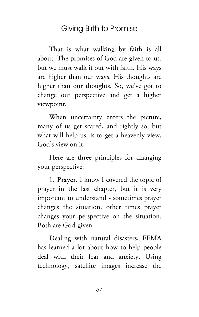That is what walking by faith is all about. The promises of God are given to us, but we must walk it out with faith. His ways are higher than our ways. His thoughts are higher than our thoughts. So, we've got to change our perspective and get a higher viewpoint.

When uncertainty enters the picture, many of us get scared, and rightly so, but what will help us, is to get a heavenly view, God's view on it.

Here are three principles for changing your perspective:

1. Prayer. I know I covered the topic of prayer in the last chapter, but it is very important to understand - sometimes prayer changes the situation, other times prayer changes your perspective on the situation. Both are God-given.

Dealing with natural disasters, FEMA has learned a lot about how to help people deal with their fear and anxiety. Using technology, satellite images increase the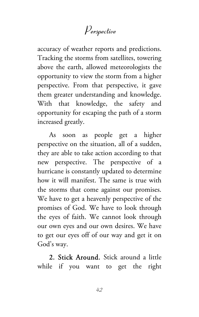# Perspective

accuracy of weather reports and predictions. Tracking the storms from satellites, towering above the earth, allowed meteorologists the opportunity to view the storm from a higher perspective. From that perspective, it gave them greater understanding and knowledge. With that knowledge, the safety and opportunity for escaping the path of a storm increased greatly.

As soon as people get a higher perspective on the situation, all of a sudden, they are able to take action according to that new perspective. The perspective of a hurricane is constantly updated to determine how it will manifest. The same is true with the storms that come against our promises. We have to get a heavenly perspective of the promises of God. We have to look through the eyes of faith. We cannot look through our own eyes and our own desires. We have to get our eyes off of our way and get it on God's way.

2. Stick Around. Stick around a little while if you want to get the right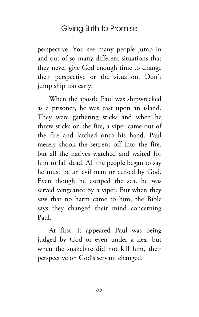perspective. You see many people jump in and out of so many different situations that they never give God enough time to change their perspective or the situation. Don't jump ship too early.

When the apostle Paul was shipwrecked as a prisoner, he was cast upon an island. They were gathering sticks and when he threw sticks on the fire, a viper came out of the fire and latched onto his hand. Paul merely shook the serpent off into the fire, but all the natives watched and waited for him to fall dead. All the people began to say he must be an evil man or cursed by God. Even though he escaped the sea, he was served vengeance by a viper. But when they saw that no harm came to him, the Bible says they changed their mind concerning Paul.

At first, it appeared Paul was being judged by God or even under a hex, but when the snakebite did not kill him, their perspective on God's servant changed.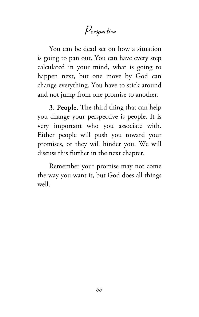# Perspective

You can be dead set on how a situation is going to pan out. You can have every step calculated in your mind, what is going to happen next, but one move by God can change everything. You have to stick around and not jump from one promise to another.

3. People. The third thing that can help you change your perspective is people. It is very important who you associate with. Either people will push you toward your promises, or they will hinder you. We will discuss this further in the next chapter.

Remember your promise may not come the way you want it, but God does all things well.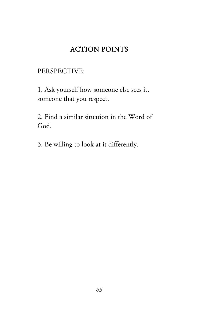# ACTION POINTS

### PERSPECTIVE:

1. Ask yourself how someone else sees it, someone that you respect.

2. Find a similar situation in the Word of God.

3. Be willing to look at it differently.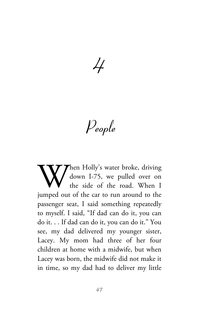$\cancel{+}$ 

People

hen Holly's water broke, driving down I-75, we pulled over on the side of the road. When I When Holly's water broke, driving<br>the side of the road. When I<br>jumped out of the car to run around to the passenger seat, I said something repeatedly to myself. I said, "If dad can do it, you can do it. . . If dad can do it, you can do it." You see, my dad delivered my younger sister, Lacey. My mom had three of her four children at home with a midwife, but when Lacey was born, the midwife did not make it in time, so my dad had to deliver my little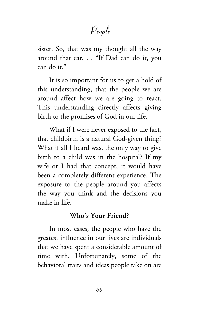People

sister. So, that was my thought all the way around that car. . . "If Dad can do it, you can do it."

It is so important for us to get a hold of this understanding, that the people we are around affect how we are going to react. This understanding directly affects giving birth to the promises of God in our life.

What if I were never exposed to the fact, that childbirth is a natural God-given thing? What if all I heard was, the only way to give birth to a child was in the hospital? If my wife or I had that concept, it would have been a completely different experience. The exposure to the people around you affects the way you think and the decisions you make in life.

## Who's Your Friend?

In most cases, the people who have the greatest influence in our lives are individuals that we have spent a considerable amount of time with. Unfortunately, some of the behavioral traits and ideas people take on are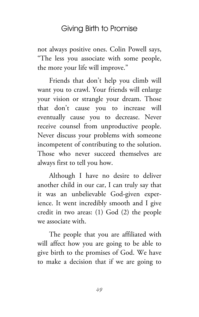not always positive ones. Colin Powell says, "The less you associate with some people, the more your life will improve."

Friends that don't help you climb will want you to crawl. Your friends will enlarge your vision or strangle your dream. Those that don't cause you to increase will eventually cause you to decrease. Never receive counsel from unproductive people. Never discuss your problems with someone incompetent of contributing to the solution. Those who never succeed themselves are always first to tell you how.

Although I have no desire to deliver another child in our car, I can truly say that it was an unbelievable God-given experience. It went incredibly smooth and I give credit in two areas: (1) God (2) the people we associate with.

The people that you are affiliated with will affect how you are going to be able to give birth to the promises of God. We have to make a decision that if we are going to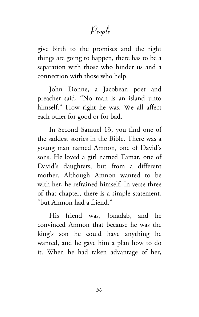# People

give birth to the promises and the right things are going to happen, there has to be a separation with those who hinder us and a connection with those who help.

John Donne, a Jacobean poet and preacher said, "No man is an island unto himself." How right he was. We all affect each other for good or for bad.

In Second Samuel 13, you find one of the saddest stories in the Bible. There was a young man named Amnon, one of David's sons. He loved a girl named Tamar, one of David's daughters, but from a different mother. Although Amnon wanted to be with her, he refrained himself. In verse three of that chapter, there is a simple statement, "but Amnon had a friend."

His friend was, Jonadab, and he convinced Amnon that because he was the king's son he could have anything he wanted, and he gave him a plan how to do it. When he had taken advantage of her,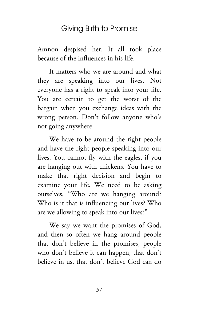Amnon despised her. It all took place because of the influences in his life.

It matters who we are around and what they are speaking into our lives. Not everyone has a right to speak into your life. You are certain to get the worst of the bargain when you exchange ideas with the wrong person. Don't follow anyone who's not going anywhere.

We have to be around the right people and have the right people speaking into our lives. You cannot fly with the eagles, if you are hanging out with chickens. You have to make that right decision and begin to examine your life. We need to be asking ourselves, "Who are we hanging around? Who is it that is influencing our lives? Who are we allowing to speak into our lives?"

We say we want the promises of God, and then so often we hang around people that don't believe in the promises, people who don't believe it can happen, that don't believe in us, that don't believe God can do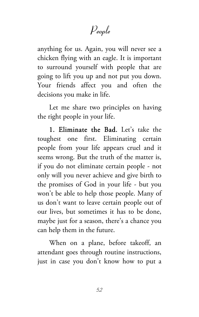# People

anything for us. Again, you will never see a chicken flying with an eagle. It is important to surround yourself with people that are going to lift you up and not put you down. Your friends affect you and often the decisions you make in life.

Let me share two principles on having the right people in your life.

1. Eliminate the Bad. Let's take the toughest one first. Eliminating certain people from your life appears cruel and it seems wrong. But the truth of the matter is, if you do not eliminate certain people - not only will you never achieve and give birth to the promises of God in your life - but you won't be able to help those people. Many of us don't want to leave certain people out of our lives, but sometimes it has to be done, maybe just for a season, there's a chance you can help them in the future.

When on a plane, before takeoff, an attendant goes through routine instructions, just in case you don't know how to put a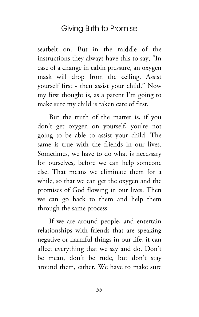seatbelt on. But in the middle of the instructions they always have this to say, "In case of a change in cabin pressure, an oxygen mask will drop from the ceiling. Assist yourself first - then assist your child." Now my first thought is, as a parent I'm going to make sure my child is taken care of first.

But the truth of the matter is, if you don't get oxygen on yourself, you're not going to be able to assist your child. The same is true with the friends in our lives. Sometimes, we have to do what is necessary for ourselves, before we can help someone else. That means we eliminate them for a while, so that we can get the oxygen and the promises of God flowing in our lives. Then we can go back to them and help them through the same process.

If we are around people, and entertain relationships with friends that are speaking negative or harmful things in our life, it can affect everything that we say and do. Don't be mean, don't be rude, but don't stay around them, either. We have to make sure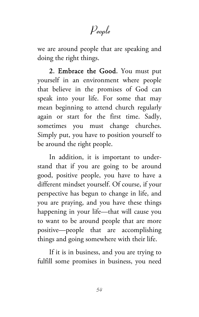# People

we are around people that are speaking and doing the right things.

2. Embrace the Good. You must put yourself in an environment where people that believe in the promises of God can speak into your life. For some that may mean beginning to attend church regularly again or start for the first time. Sadly, sometimes you must change churches. Simply put, you have to position yourself to be around the right people.

In addition, it is important to understand that if you are going to be around good, positive people, you have to have a different mindset yourself. Of course, if your perspective has begun to change in life, and you are praying, and you have these things happening in your life—that will cause you to want to be around people that are more positive—people that are accomplishing things and going somewhere with their life.

If it is in business, and you are trying to fulfill some promises in business, you need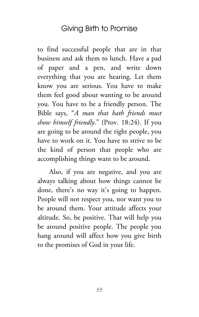to find successful people that are in that business and ask them to lunch. Have a pad of paper and a pen, and write down everything that you are hearing. Let them know you are serious. You have to make them feel good about wanting to be around you. You have to be a friendly person. The Bible says, "*A man that hath friends must show himself friendly*." (Prov. 18:24). If you are going to be around the right people, you have to work on it. You have to strive to be the kind of person that people who are accomplishing things want to be around.

Also, if you are negative, and you are always talking about how things cannot be done, there's no way it's going to happen. People will not respect you, nor want you to be around them. Your attitude affects your altitude. So, be positive. That will help you be around positive people. The people you hang around will affect how you give birth to the promises of God in your life.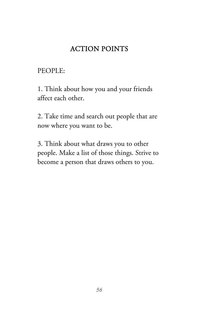# ACTION POINTS

PEOPLE:

1. Think about how you and your friends affect each other.

2. Take time and search out people that are now where you want to be.

3. Think about what draws you to other people. Make a list of those things. Strive to become a person that draws others to you.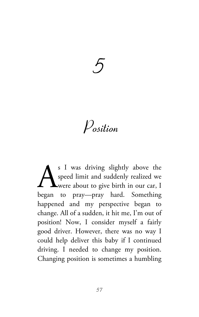# 5

Position

s I was driving slightly above the speed limit and suddenly realized we were about to give birth in our car, I S I was driving slightly above the speed limit and suddenly realized we were about to give birth in our car, I began to pray—pray hard. Something happened and my perspective began to change. All of a sudden, it hit me, I'm out of position! Now, I consider myself a fairly good driver. However, there was no way I could help deliver this baby if I continued driving. I needed to change my position. Changing position is sometimes a humbling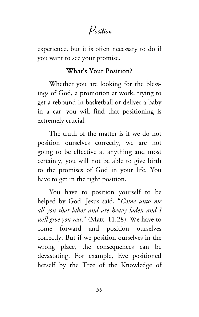# Position

experience, but it is often necessary to do if you want to see your promise.

## What's Your Position?

Whether you are looking for the blessings of God, a promotion at work, trying to get a rebound in basketball or deliver a baby in a car, you will find that positioning is extremely crucial.

The truth of the matter is if we do not position ourselves correctly, we are not going to be effective at anything and most certainly, you will not be able to give birth to the promises of God in your life. You have to get in the right position.

You have to position yourself to be helped by God. Jesus said, "*Come unto me all you that labor and are heavy laden and I will give you rest*." (Matt. 11:28). We have to come forward and position ourselves correctly. But if we position ourselves in the wrong place, the consequences can be devastating. For example, Eve positioned herself by the Tree of the Knowledge of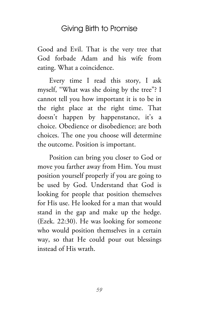Good and Evil. That is the very tree that God forbade Adam and his wife from eating. What a coincidence.

Every time I read this story, I ask myself, "What was she doing by the tree"? I cannot tell you how important it is to be in the right place at the right time. That doesn't happen by happenstance, it's a choice. Obedience or disobedience; are both choices. The one you choose will determine the outcome. Position is important.

Position can bring you closer to God or move you farther away from Him. You must position yourself properly if you are going to be used by God. Understand that God is looking for people that position themselves for His use. He looked for a man that would stand in the gap and make up the hedge. (Ezek. 22:30). He was looking for someone who would position themselves in a certain way, so that He could pour out blessings instead of His wrath.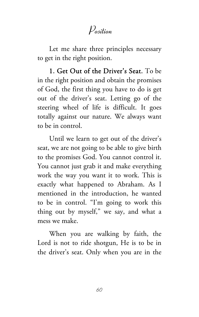# Position

Let me share three principles necessary to get in the right position.

1. Get Out of the Driver's Seat. To be in the right position and obtain the promises of God, the first thing you have to do is get out of the driver's seat. Letting go of the steering wheel of life is difficult. It goes totally against our nature. We always want to be in control.

Until we learn to get out of the driver's seat, we are not going to be able to give birth to the promises God. You cannot control it. You cannot just grab it and make everything work the way you want it to work. This is exactly what happened to Abraham. As I mentioned in the introduction, he wanted to be in control. "I'm going to work this thing out by myself," we say, and what a mess we make.

When you are walking by faith, the Lord is not to ride shotgun, He is to be in the driver's seat. Only when you are in the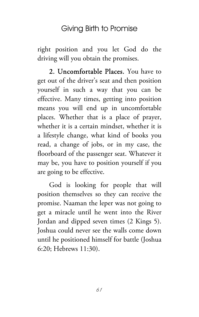right position and you let God do the driving will you obtain the promises.

2. Uncomfortable Places. You have to get out of the driver's seat and then position yourself in such a way that you can be effective. Many times, getting into position means you will end up in uncomfortable places. Whether that is a place of prayer, whether it is a certain mindset, whether it is a lifestyle change, what kind of books you read, a change of jobs, or in my case, the floorboard of the passenger seat. Whatever it may be, you have to position yourself if you are going to be effective.

God is looking for people that will position themselves so they can receive the promise. Naaman the leper was not going to get a miracle until he went into the River Jordan and dipped seven times (2 Kings 5). Joshua could never see the walls come down until he positioned himself for battle (Joshua 6:20; Hebrews 11:30).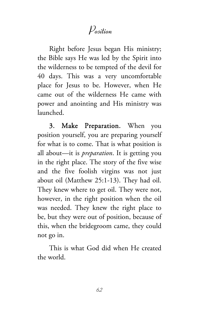# Position

Right before Jesus began His ministry; the Bible says He was led by the Spirit into the wilderness to be tempted of the devil for 40 days. This was a very uncomfortable place for Jesus to be. However, when He came out of the wilderness He came with power and anointing and His ministry was launched.

3. Make Preparation. When you position yourself, you are preparing yourself for what is to come. That is what position is all about—it is *preparation*. It is getting you in the right place. The story of the five wise and the five foolish virgins was not just about oil (Matthew 25:1-13). They had oil. They knew where to get oil. They were not, however, in the right position when the oil was needed. They knew the right place to be, but they were out of position, because of this, when the bridegroom came, they could not go in.

This is what God did when He created the world.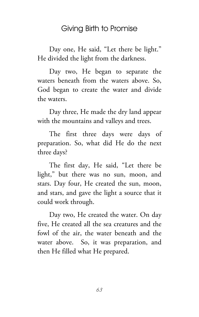Day one, He said, "Let there be light." He divided the light from the darkness.

Day two, He began to separate the waters beneath from the waters above. So, God began to create the water and divide the waters.

Day three, He made the dry land appear with the mountains and valleys and trees.

The first three days were days of preparation. So, what did He do the next three days?

The first day, He said, "Let there be light," but there was no sun, moon, and stars. Day four, He created the sun, moon, and stars, and gave the light a source that it could work through.

Day two, He created the water. On day five, He created all the sea creatures and the fowl of the air, the water beneath and the water above. So, it was preparation, and then He filled what He prepared.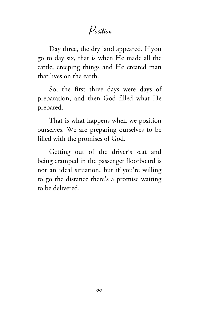# Position

Day three, the dry land appeared. If you go to day six, that is when He made all the cattle, creeping things and He created man that lives on the earth.

So, the first three days were days of preparation, and then God filled what He prepared.

That is what happens when we position ourselves. We are preparing ourselves to be filled with the promises of God.

Getting out of the driver's seat and being cramped in the passenger floorboard is not an ideal situation, but if you're willing to go the distance there's a promise waiting to be delivered.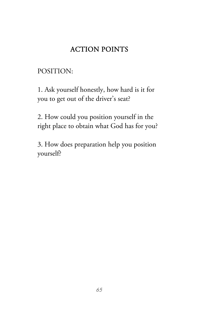# ACTION POINTS

# POSITION:

1. Ask yourself honestly, how hard is it for you to get out of the driver's seat?

2. How could you position yourself in the right place to obtain what God has for you?

3. How does preparation help you position yourself?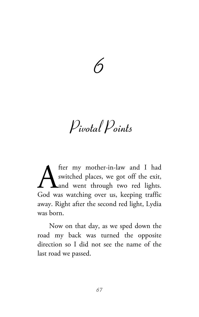

Pivotal Points

fter my mother-in-law and I had switched places, we got off the exit, and went through two red lights. fter my mother-in-law and I had<br>switched places, we got off the exit,<br>God was watching over us, keeping traffic away. Right after the second red light, Lydia was born.

Now on that day, as we sped down the road my back was turned the opposite direction so I did not see the name of the last road we passed.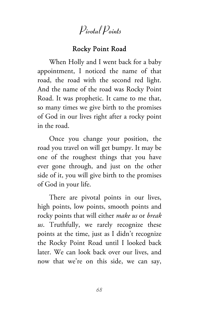# Pivotal Points

## Rocky Point Road

When Holly and I went back for a baby appointment, I noticed the name of that road, the road with the second red light. And the name of the road was Rocky Point Road. It was prophetic. It came to me that, so many times we give birth to the promises of God in our lives right after a rocky point in the road.

Once you change your position, the road you travel on will get bumpy. It may be one of the roughest things that you have ever gone through, and just on the other side of it, you will give birth to the promises of God in your life.

There are pivotal points in our lives, high points, low points, smooth points and rocky points that will either *make us* or *break us*. Truthfully, we rarely recognize these points at the time, just as I didn't recognize the Rocky Point Road until I looked back later. We can look back over our lives, and now that we're on this side, we can say,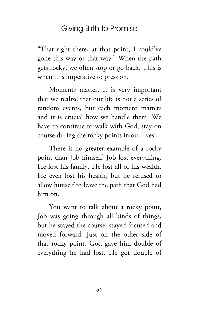"That right there, at that point, I could've gone this way or that way." When the path gets rocky, we often stop or go back. This is when it is imperative to press on.

Moments matter. It is very important that we realize that our life is not a series of random events, but each moment matters and it is crucial how we handle them. We have to continue to walk with God, stay on course during the rocky points in our lives.

There is no greater example of a rocky point than Job himself. Job lost everything. He lost his family. He lost all of his wealth. He even lost his health, but he refused to allow himself to leave the path that God had him on.

You want to talk about a rocky point, Job was going through all kinds of things, but he stayed the course, stayed focused and moved forward. Just on the other side of that rocky point, God gave him double of everything he had lost. He got double of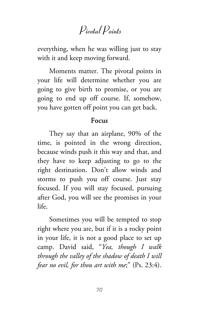# Pivotal Points

everything, when he was willing just to stay with it and keep moving forward.

Moments matter. The pivotal points in your life will determine whether you are going to give birth to promise, or you are going to end up off course. If, somehow, you have gotten off point you can get back.

#### Focus

They say that an airplane, 90% of the time, is pointed in the wrong direction, because winds push it this way and that, and they have to keep adjusting to go to the right destination. Don't allow winds and storms to push you off course. Just stay focused. If you will stay focused, pursuing after God, you will see the promises in your life.

Sometimes you will be tempted to stop right where you are, but if it is a rocky point in your life, it is not a good place to set up camp. David said, "*Yea, though I walk through the valley of the shadow of death I will fear no evil, for thou art with me*;" (Ps. 23:4).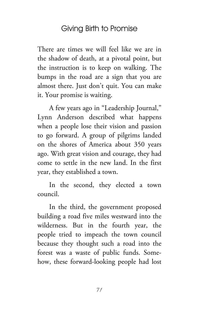There are times we will feel like we are in the shadow of death, at a pivotal point, but the instruction is to keep on walking. The bumps in the road are a sign that you are almost there. Just don't quit. You can make it. Your promise is waiting.

A few years ago in "Leadership Journal," Lynn Anderson described what happens when a people lose their vision and passion to go forward. A group of pilgrims landed on the shores of America about 350 years ago. With great vision and courage, they had come to settle in the new land. In the first year, they established a town.

In the second, they elected a town council.

In the third, the government proposed building a road five miles westward into the wilderness. But in the fourth year, the people tried to impeach the town council because they thought such a road into the forest was a waste of public funds. Somehow, these forward-looking people had lost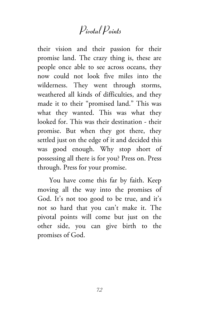# Pivotal Points

their vision and their passion for their promise land. The crazy thing is, these are people once able to see across oceans, they now could not look five miles into the wilderness. They went through storms, weathered all kinds of difficulties, and they made it to their "promised land." This was what they wanted. This was what they looked for. This was their destination - their promise. But when they got there, they settled just on the edge of it and decided this was good enough. Why stop short of possessing all there is for you? Press on. Press through. Press for your promise.

You have come this far by faith. Keep moving all the way into the promises of God. It's not too good to be true, and it's not so hard that you can't make it. The pivotal points will come but just on the other side, you can give birth to the promises of God.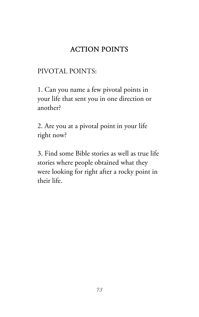### ACTION POINTS

#### PIVOTAL POINTS:

1. Can you name a few pivotal points in your life that sent you in one direction or another?

2. Are you at a pivotal point in your life right now?

3. Find some Bible stories as well as true life stories where people obtained what they were looking for right after a rocky point in their life.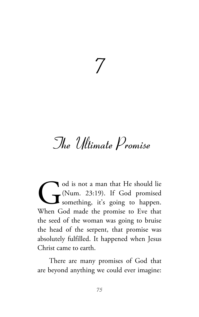# 7

# The Ultimate Promise

od is not a man that He should lie (Num. 23:19). If God promised something, it's going to happen. When God made the promise to Eve that the seed of the woman was going to bruise the head of the serpent, that promise was absolutely fulfilled. It happened when Jesus Christ came to earth. G<br>When G

There are many promises of God that are beyond anything we could ever imagine: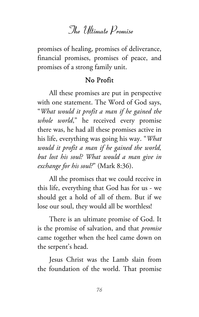promises of healing, promises of deliverance, financial promises, promises of peace, and promises of a strong family unit.

#### No Profit

All these promises are put in perspective with one statement. The Word of God says, "*What would it profit a man if he gained the whole world*," he received every promise there was, he had all these promises active in his life, everything was going his way. "*What would it profit a man if he gained the world, but lost his soul? What would a man give in exchange for his soul?*" (Mark 8:36).

All the promises that we could receive in this life, everything that God has for us - we should get a hold of all of them. But if we lose our soul, they would all be worthless!

There is an ultimate promise of God. It is the promise of salvation, and that *promise* came together when the heel came down on the serpent's head.

Jesus Christ was the Lamb slain from the foundation of the world. That promise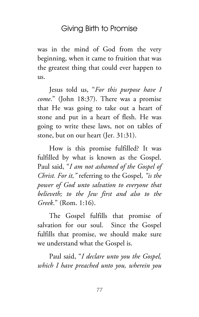was in the mind of God from the very beginning, when it came to fruition that was the greatest thing that could ever happen to us.

Jesus told us, "*For this purpose have I come*." (John 18:37). There was a promise that He was going to take out a heart of stone and put in a heart of flesh. He was going to write these laws, not on tables of stone, but on our heart (Jer. 31:31).

How is this promise fulfilled? It was fulfilled by what is known as the Gospel. Paul said, "*I am not ashamed of the Gospel of Christ. For it,"* referring to the Gospel*, "is the power of God unto salvation to everyone that believeth; to the Jew first and also to the Greek*." (Rom. 1:16).

The Gospel fulfills that promise of salvation for our soul. Since the Gospel fulfills that promise, we should make sure we understand what the Gospel is.

Paul said, "*I declare unto you the Gospel, which I have preached unto you, wherein you*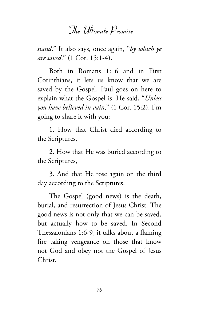*stand*." It also says, once again, "*by which ye are saved*." (1 Cor. 15:1-4).

Both in Romans 1:16 and in First Corinthians, it lets us know that we are saved by the Gospel. Paul goes on here to explain what the Gospel is. He said, "*Unless you have believed in vain*," (1 Cor. 15:2). I'm going to share it with you:

1. How that Christ died according to the Scriptures,

2. How that He was buried according to the Scriptures,

3. And that He rose again on the third day according to the Scriptures.

The Gospel (good news) is the death, burial, and resurrection of Jesus Christ. The good news is not only that we can be saved, but actually how to be saved. In Second Thessalonians 1:6-9, it talks about a flaming fire taking vengeance on those that know not God and obey not the Gospel of Jesus Christ.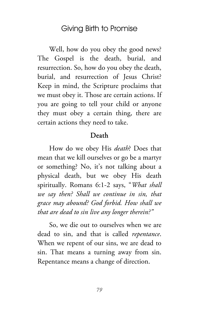Well, how do you obey the good news? The Gospel is the death, burial, and resurrection. So, how do you obey the death, burial, and resurrection of Jesus Christ? Keep in mind, the Scripture proclaims that we must obey it. Those are certain actions. If you are going to tell your child or anyone they must obey a certain thing, there are certain actions they need to take.

#### Death

How do we obey His *death*? Does that mean that we kill ourselves or go be a martyr or something? No, it's not talking about a physical death, but we obey His death spiritually. Romans 6:1-2 says, "*What shall we say then? Shall we continue in sin, that grace may abound? God forbid. How shall we that are dead to sin live any longer therein?"*

So, we die out to ourselves when we are dead to sin, and that is called *repentance*. When we repent of our sins, we are dead to sin. That means a turning away from sin. Repentance means a change of direction.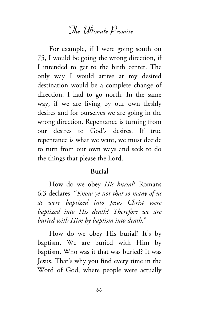For example, if I were going south on 75, I would be going the wrong direction, if I intended to get to the birth center. The only way I would arrive at my desired destination would be a complete change of direction. I had to go north. In the same way, if we are living by our own fleshly desires and for ourselves we are going in the wrong direction. Repentance is turning from our desires to God's desires. If true repentance is what we want, we must decide to turn from our own ways and seek to do the things that please the Lord.

#### Burial

How do we obey *His burial*? Romans 6:3 declares, "*Know ye not that so many of us as were baptized into Jesus Christ were baptized into His death? Therefore we are buried with Him by baptism into death*."

How do we obey His burial? It's by baptism. We are buried with Him by baptism. Who was it that was buried? It was Jesus. That's why you find every time in the Word of God, where people were actually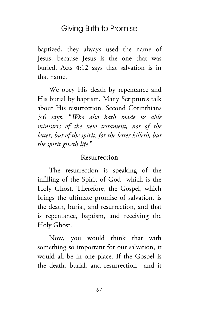baptized, they always used the name of Jesus, because Jesus is the one that was buried. Acts 4:12 says that salvation is in that name.

We obey His death by repentance and His burial by baptism. Many Scriptures talk about His resurrection. Second Corinthians 3:6 says, "*Who also hath made us able ministers of the new testament, not of the letter, but of the spirit: for the letter killeth, but the spirit giveth life*."

#### Resurrection

The resurrection is speaking of the infilling of the Spirit of God which is the Holy Ghost. Therefore, the Gospel, which brings the ultimate promise of salvation, is the death, burial, and resurrection, and that is repentance, baptism, and receiving the Holy Ghost.

Now, you would think that with something so important for our salvation, it would all be in one place. If the Gospel is the death, burial, and resurrection—and it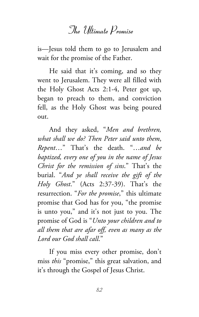is—Jesus told them to go to Jerusalem and wait for the promise of the Father.

He said that it's coming, and so they went to Jerusalem. They were all filled with the Holy Ghost Acts 2:1-4, Peter got up, began to preach to them, and conviction fell, as the Holy Ghost was being poured out.

And they asked, "*Men and brethren, what shall we do? Then Peter said unto them*, *Repent*…" That's the death. "…*and be baptized, every one of you in the name of Jesus Christ for the remission of sins*." That's the burial. "*And ye shall receive the gift of the Holy Ghost*." (Acts 2:37-39). That's the resurrection. "*For the promise*," this ultimate promise that God has for you, "the promise is unto you," and it's not just to you. The promise of God is "*Unto your children and to all them that are afar off, even as many as the Lord our God shall call*."

If you miss every other promise, don't miss *this* "promise," this great salvation, and it's through the Gospel of Jesus Christ.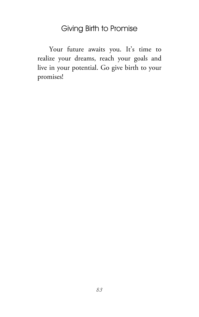Your future awaits you. It's time to realize your dreams, reach your goals and live in your potential. Go give birth to your promises!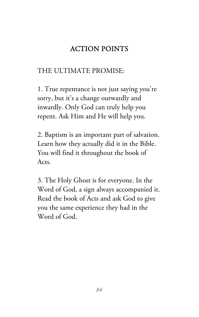### ACTION POINTS

#### THE ULTIMATE PROMISE:

1. True repentance is not just saying you're sorry, but it's a change outwardly and inwardly. Only God can truly help you repent. Ask Him and He will help you.

2. Baptism is an important part of salvation. Learn how they actually did it in the Bible. You will find it throughout the book of Acts.

3. The Holy Ghost is for everyone. In the Word of God, a sign always accompanied it. Read the book of Acts and ask God to give you the same experience they had in the Word of God.